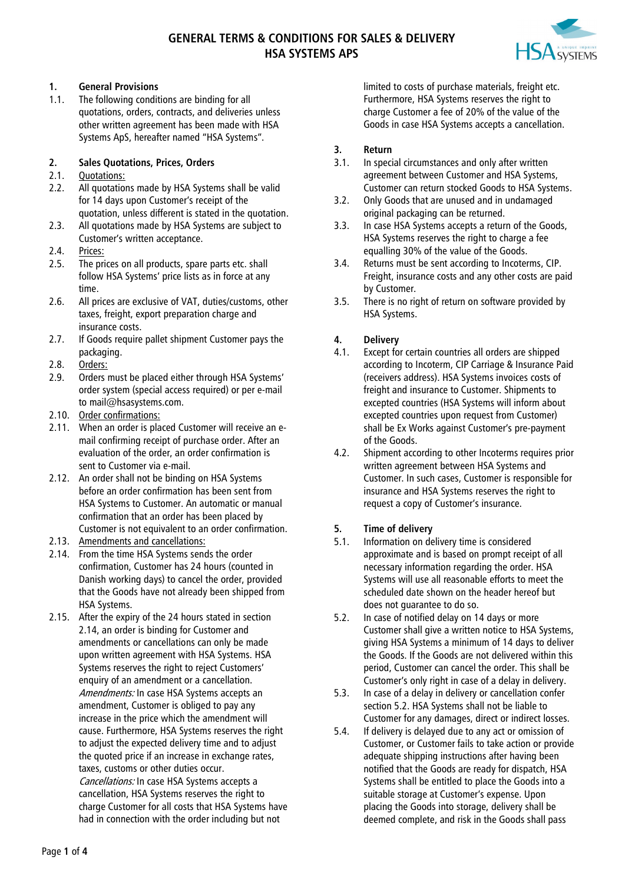# **GENERAL TERMS & CONDITIONS FOR SALES & DELIVERY HSA SYSTEMS APS**



#### **1. General Provisions**

1.1. The following conditions are binding for all quotations, orders, contracts, and deliveries unless other written agreement has been made with HSA Systems ApS, hereafter named "HSA Systems".

#### **2. Sales Quotations, Prices, Orders**

#### 2.1. Quotations:

- 2.2. All quotations made by HSA Systems shall be valid for 14 days upon Customer's receipt of the quotation, unless different is stated in the quotation.
- 2.3. All quotations made by HSA Systems are subject to Customer's written acceptance.
- 2.4. Prices:
- 2.5. The prices on all products, spare parts etc. shall follow HSA Systems' price lists as in force at any time.
- 2.6. All prices are exclusive of VAT, duties/customs, other taxes, freight, export preparation charge and insurance costs.
- 2.7. If Goods require pallet shipment Customer pays the packaging.
- 2.8. Orders:
- 2.9. Orders must be placed either through HSA Systems' order system (special access required) or per e-mail to mail@hsasystems.com.
- 2.10. Order confirmations:
- 2.11. When an order is placed Customer will receive an email confirming receipt of purchase order. After an evaluation of the order, an order confirmation is sent to Customer via e-mail.
- 2.12. An order shall not be binding on HSA Systems before an order confirmation has been sent from HSA Systems to Customer. An automatic or manual confirmation that an order has been placed by Customer is not equivalent to an order confirmation.
- 2.13. Amendments and cancellations:
- <span id="page-0-0"></span>2.14. From the time HSA Systems sends the order confirmation, Customer has 24 hours (counted in Danish working days) to cancel the order, provided that the Goods have not already been shipped from HSA Systems.
- 2.15. After the expiry of the 24 hours stated in section [2.14,](#page-0-0) an order is binding for Customer and amendments or cancellations can only be made upon written agreement with HSA Systems. HSA Systems reserves the right to reject Customers' enquiry of an amendment or a cancellation. Amendments: In case HSA Systems accepts an amendment, Customer is obliged to pay any increase in the price which the amendment will cause. Furthermore, HSA Systems reserves the right to adjust the expected delivery time and to adjust the quoted price if an increase in exchange rates, taxes, customs or other duties occur. Cancellations: In case HSA Systems accepts a cancellation, HSA Systems reserves the right to charge Customer for all costs that HSA Systems have had in connection with the order including but not

limited to costs of purchase materials, freight etc. Furthermore, HSA Systems reserves the right to charge Customer a fee of 20% of the value of the Goods in case HSA Systems accepts a cancellation.

#### **3. Return**

- 3.1. In special circumstances and only after written agreement between Customer and HSA Systems, Customer can return stocked Goods to HSA Systems.
- 3.2. Only Goods that are unused and in undamaged original packaging can be returned.
- 3.3. In case HSA Systems accepts a return of the Goods, HSA Systems reserves the right to charge a fee equalling 30% of the value of the Goods.
- 3.4. Returns must be sent according to Incoterms, CIP. Freight, insurance costs and any other costs are paid by Customer.
- 3.5. There is no right of return on software provided by HSA Systems.

### **4. Delivery**

- 4.1. Except for certain countries all orders are shipped according to Incoterm, CIP Carriage & Insurance Paid (receivers address). HSA Systems invoices costs of freight and insurance to Customer. Shipments to excepted countries (HSA Systems will inform about excepted countries upon request from Customer) shall be Ex Works against Customer's pre-payment of the Goods.
- 4.2. Shipment according to other Incoterms requires prior written agreement between HSA Systems and Customer. In such cases, Customer is responsible for insurance and HSA Systems reserves the right to request a copy of Customer's insurance.

#### **5. Time of delivery**

- 5.1. Information on delivery time is considered approximate and is based on prompt receipt of all necessary information regarding the order. HSA Systems will use all reasonable efforts to meet the scheduled date shown on the header hereof but does not guarantee to do so.
- <span id="page-0-1"></span>5.2. In case of notified delay on 14 days or more Customer shall give a written notice to HSA Systems, giving HSA Systems a minimum of 14 days to deliver the Goods. If the Goods are not delivered within this period, Customer can cancel the order. This shall be Customer's only right in case of a delay in delivery.
- 5.3. In case of a delay in delivery or cancellation confer sectio[n 5.2.](#page-0-1) HSA Systems shall not be liable to Customer for any damages, direct or indirect losses.
- 5.4. If delivery is delayed due to any act or omission of Customer, or Customer fails to take action or provide adequate shipping instructions after having been notified that the Goods are ready for dispatch, HSA Systems shall be entitled to place the Goods into a suitable storage at Customer's expense. Upon placing the Goods into storage, delivery shall be deemed complete, and risk in the Goods shall pass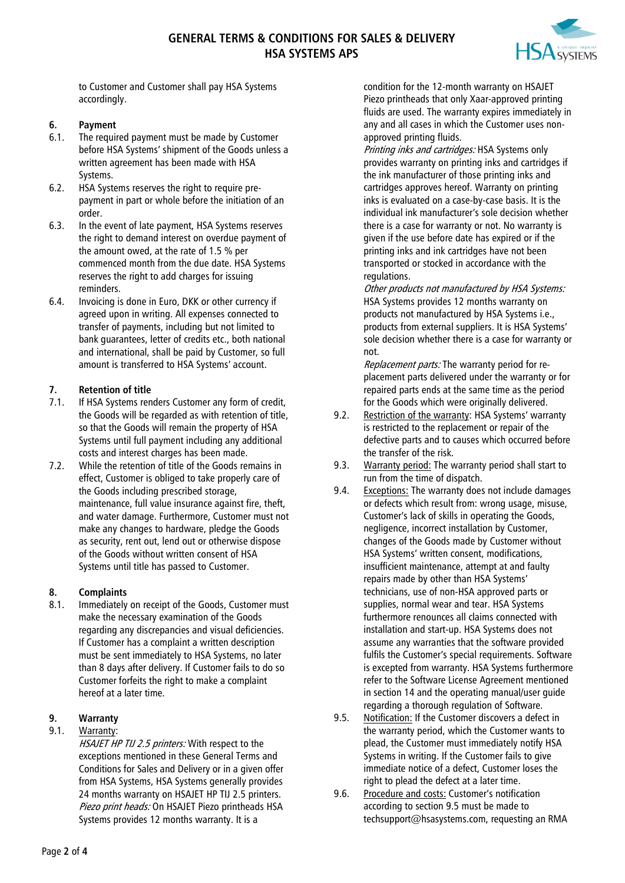

to Customer and Customer shall pay HSA Systems accordingly.

### **6. Payment**

- 6.1. The required payment must be made by Customer before HSA Systems' shipment of the Goods unless a written agreement has been made with HSA Systems.
- 6.2. HSA Systems reserves the right to require prepayment in part or whole before the initiation of an order.
- 6.3. In the event of late payment, HSA Systems reserves the right to demand interest on overdue payment of the amount owed, at the rate of 1.5 % per commenced month from the due date. HSA Systems reserves the right to add charges for issuing reminders.
- 6.4. Invoicing is done in Euro, DKK or other currency if agreed upon in writing. All expenses connected to transfer of payments, including but not limited to bank guarantees, letter of credits etc., both national and international, shall be paid by Customer, so full amount is transferred to HSA Systems' account.

### **7. Retention of title**

- 7.1. If HSA Systems renders Customer any form of credit, the Goods will be regarded as with retention of title, so that the Goods will remain the property of HSA Systems until full payment including any additional costs and interest charges has been made.
- 7.2. While the retention of title of the Goods remains in effect, Customer is obliged to take properly care of the Goods including prescribed storage, maintenance, full value insurance against fire, theft, and water damage. Furthermore, Customer must not make any changes to hardware, pledge the Goods as security, rent out, lend out or otherwise dispose of the Goods without written consent of HSA Systems until title has passed to Customer.

#### **8. Complaints**

8.1. Immediately on receipt of the Goods, Customer must make the necessary examination of the Goods regarding any discrepancies and visual deficiencies. If Customer has a complaint a written description must be sent immediately to HSA Systems, no later than 8 days after delivery. If Customer fails to do so Customer forfeits the right to make a complaint hereof at a later time.

# **9. Warranty**

### 9.1. Warranty:

HSAJET HP TIJ 2.5 printers: With respect to the exceptions mentioned in these General Terms and Conditions for Sales and Delivery or in a given offer from HSA Systems, HSA Systems generally provides 24 months warranty on HSAJET HP TIJ 2.5 printers. Piezo print heads: On HSAJET Piezo printheads HSA Systems provides 12 months warranty. It is a

condition for the 12-month warranty on HSAJET Piezo printheads that only Xaar-approved printing fluids are used. The warranty expires immediately in any and all cases in which the Customer uses nonapproved printing fluids.

Printing inks and cartridges: HSA Systems only provides warranty on printing inks and cartridges if the ink manufacturer of those printing inks and cartridges approves hereof. Warranty on printing inks is evaluated on a case-by-case basis. It is the individual ink manufacturer's sole decision whether there is a case for warranty or not. No warranty is given if the use before date has expired or if the printing inks and ink cartridges have not been transported or stocked in accordance with the regulations.

Other products not manufactured by HSA Systems: HSA Systems provides 12 months warranty on products not manufactured by HSA Systems i.e., products from external suppliers. It is HSA Systems' sole decision whether there is a case for warranty or not.

Replacement parts: The warranty period for replacement parts delivered under the warranty or for repaired parts ends at the same time as the period for the Goods which were originally delivered.

- 9.2. Restriction of the warranty: HSA Systems' warranty is restricted to the replacement or repair of the defective parts and to causes which occurred before the transfer of the risk.
- 9.3. Warranty period: The warranty period shall start to run from the time of dispatch.
- 9.4. Exceptions: The warranty does not include damages or defects which result from: wrong usage, misuse, Customer's lack of skills in operating the Goods, negligence, incorrect installation by Customer, changes of the Goods made by Customer without HSA Systems' written consent, modifications, insufficient maintenance, attempt at and faulty repairs made by other than HSA Systems' technicians, use of non-HSA approved parts or supplies, normal wear and tear. HSA Systems furthermore renounces all claims connected with installation and start-up. HSA Systems does not assume any warranties that the software provided fulfils the Customer's special requirements. Software is excepted from warranty. HSA Systems furthermore refer to the Software License Agreement mentioned in section [14](#page-3-0) and the operating manual/user guide regarding a thorough regulation of Software.
- <span id="page-1-0"></span>9.5. Notification: If the Customer discovers a defect in the warranty period, which the Customer wants to plead, the Customer must immediately notify HSA Systems in writing. If the Customer fails to give immediate notice of a defect, Customer loses the right to plead the defect at a later time.
- 9.6. Procedure and costs: Customer's notification according to section [9.5](#page-1-0) must be made to techsupport@hsasystems.com, requesting an RMA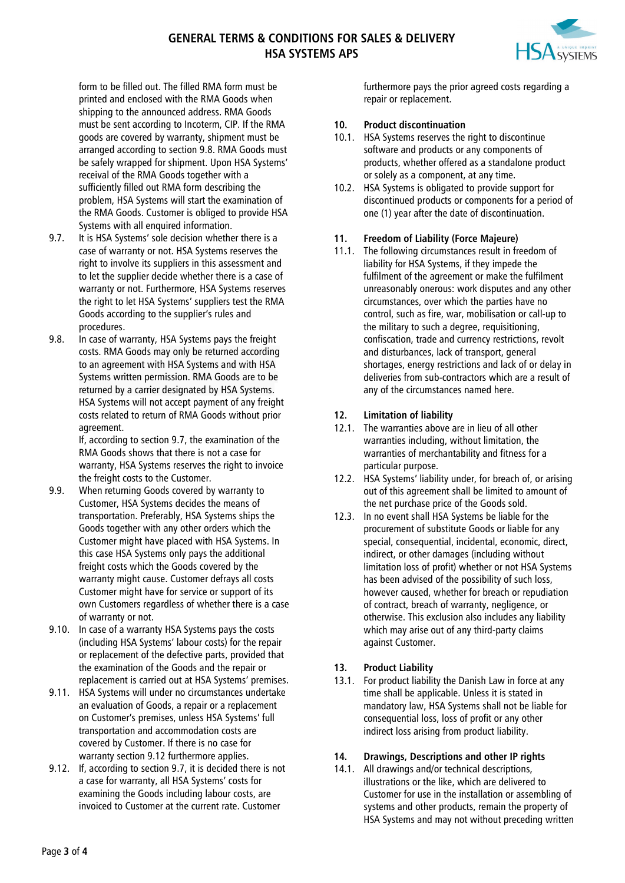

form to be filled out. The filled RMA form must be printed and enclosed with the RMA Goods when shipping to the announced address. RMA Goods must be sent according to Incoterm, CIP. If the RMA goods are covered by warranty, shipment must be arranged according to section [9.8.](#page-2-0) RMA Goods must be safely wrapped for shipment. Upon HSA Systems' receival of the RMA Goods together with a sufficiently filled out RMA form describing the problem, HSA Systems will start the examination of the RMA Goods. Customer is obliged to provide HSA Systems with all enquired information.

- <span id="page-2-1"></span>9.7. It is HSA Systems' sole decision whether there is a case of warranty or not. HSA Systems reserves the right to involve its suppliers in this assessment and to let the supplier decide whether there is a case of warranty or not. Furthermore, HSA Systems reserves the right to let HSA Systems' suppliers test the RMA Goods according to the supplier's rules and procedures.
- <span id="page-2-0"></span>9.8. In case of warranty, HSA Systems pays the freight costs. RMA Goods may only be returned according to an agreement with HSA Systems and with HSA Systems written permission. RMA Goods are to be returned by a carrier designated by HSA Systems. HSA Systems will not accept payment of any freight costs related to return of RMA Goods without prior agreement.

If, according to sectio[n 9.7,](#page-2-1) the examination of the RMA Goods shows that there is not a case for warranty, HSA Systems reserves the right to invoice the freight costs to the Customer.

- 9.9. When returning Goods covered by warranty to Customer, HSA Systems decides the means of transportation. Preferably, HSA Systems ships the Goods together with any other orders which the Customer might have placed with HSA Systems. In this case HSA Systems only pays the additional freight costs which the Goods covered by the warranty might cause. Customer defrays all costs Customer might have for service or support of its own Customers regardless of whether there is a case of warranty or not.
- 9.10. In case of a warranty HSA Systems pays the costs (including HSA Systems' labour costs) for the repair or replacement of the defective parts, provided that the examination of the Goods and the repair or replacement is carried out at HSA Systems' premises.
- 9.11. HSA Systems will under no circumstances undertake an evaluation of Goods, a repair or a replacement on Customer's premises, unless HSA Systems' full transportation and accommodation costs are covered by Customer. If there is no case for warranty sectio[n 9.12](#page-2-2) furthermore applies.
- <span id="page-2-2"></span>9.12. If, according to sectio[n 9.7,](#page-2-1) it is decided there is not a case for warranty, all HSA Systems' costs for examining the Goods including labour costs, are invoiced to Customer at the current rate. Customer

furthermore pays the prior agreed costs regarding a repair or replacement.

### **10. Product discontinuation**

- 10.1. HSA Systems reserves the right to discontinue software and products or any components of products, whether offered as a standalone product or solely as a component, at any time.
- 10.2. HSA Systems is obligated to provide support for discontinued products or components for a period of one (1) year after the date of discontinuation.

### **11. Freedom of Liability (Force Majeure)**

11.1. The following circumstances result in freedom of liability for HSA Systems, if they impede the fulfilment of the agreement or make the fulfilment unreasonably onerous: work disputes and any other circumstances, over which the parties have no control, such as fire, war, mobilisation or call-up to the military to such a degree, requisitioning, confiscation, trade and currency restrictions, revolt and disturbances, lack of transport, general shortages, energy restrictions and lack of or delay in deliveries from sub-contractors which are a result of any of the circumstances named here.

# **12. Limitation of liability**

- 12.1. The warranties above are in lieu of all other warranties including, without limitation, the warranties of merchantability and fitness for a particular purpose.
- 12.2. HSA Systems' liability under, for breach of, or arising out of this agreement shall be limited to amount of the net purchase price of the Goods sold.
- 12.3. In no event shall HSA Systems be liable for the procurement of substitute Goods or liable for any special, consequential, incidental, economic, direct, indirect, or other damages (including without limitation loss of profit) whether or not HSA Systems has been advised of the possibility of such loss, however caused, whether for breach or repudiation of contract, breach of warranty, negligence, or otherwise. This exclusion also includes any liability which may arise out of any third-party claims against Customer.

# **13. Product Liability**

13.1. For product liability the Danish Law in force at any time shall be applicable. Unless it is stated in mandatory law, HSA Systems shall not be liable for consequential loss, loss of profit or any other indirect loss arising from product liability.

# **14. Drawings, Descriptions and other IP rights**

14.1. All drawings and/or technical descriptions, illustrations or the like, which are delivered to Customer for use in the installation or assembling of systems and other products, remain the property of HSA Systems and may not without preceding written